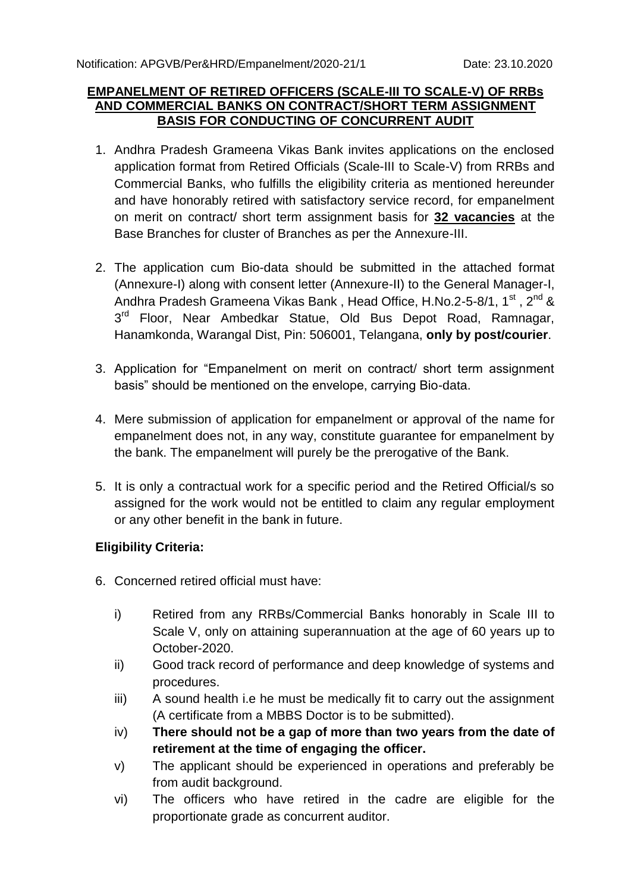#### **EMPANELMENT OF RETIRED OFFICERS (SCALE-III TO SCALE-V) OF RRBs AND COMMERCIAL BANKS ON CONTRACT/SHORT TERM ASSIGNMENT BASIS FOR CONDUCTING OF CONCURRENT AUDIT**

- 1. Andhra Pradesh Grameena Vikas Bank invites applications on the enclosed application format from Retired Officials (Scale-III to Scale-V) from RRBs and Commercial Banks, who fulfills the eligibility criteria as mentioned hereunder and have honorably retired with satisfactory service record, for empanelment on merit on contract/ short term assignment basis for **32 vacancies** at the Base Branches for cluster of Branches as per the Annexure-III.
- 2. The application cum Bio-data should be submitted in the attached format (Annexure-I) along with consent letter (Annexure-II) to the General Manager-I, Andhra Pradesh Grameena Vikas Bank, Head Office, H.No.2-5-8/1, 1<sup>st</sup>, 2<sup>nd</sup> & 3<sup>rd</sup> Floor, Near Ambedkar Statue, Old Bus Depot Road, Ramnagar, Hanamkonda, Warangal Dist, Pin: 506001, Telangana, **only by post/courier**.
- 3. Application for "Empanelment on merit on contract/ short term assignment basis" should be mentioned on the envelope, carrying Bio-data.
- 4. Mere submission of application for empanelment or approval of the name for empanelment does not, in any way, constitute guarantee for empanelment by the bank. The empanelment will purely be the prerogative of the Bank.
- 5. It is only a contractual work for a specific period and the Retired Official/s so assigned for the work would not be entitled to claim any regular employment or any other benefit in the bank in future.

#### **Eligibility Criteria:**

- 6. Concerned retired official must have:
	- i) Retired from any RRBs/Commercial Banks honorably in Scale III to Scale V, only on attaining superannuation at the age of 60 years up to October-2020.
	- ii) Good track record of performance and deep knowledge of systems and procedures.
	- iii) A sound health i.e he must be medically fit to carry out the assignment (A certificate from a MBBS Doctor is to be submitted).
	- iv) **There should not be a gap of more than two years from the date of retirement at the time of engaging the officer.**
	- v) The applicant should be experienced in operations and preferably be from audit background.
	- vi) The officers who have retired in the cadre are eligible for the proportionate grade as concurrent auditor.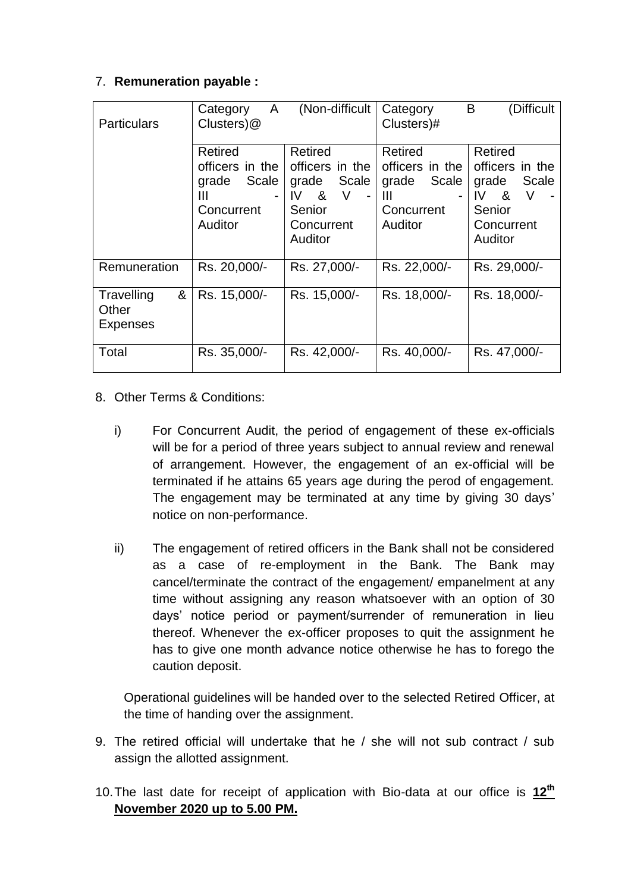### 7. **Remuneration payable :**

| <b>Particulars</b>                          | $\mathsf{A}$<br>Category<br>Clusters)@                                                                 | (Non-difficult                                                                                               | (Difficult<br>B<br>Category<br>Clusters)#                                                              |                                                                                              |
|---------------------------------------------|--------------------------------------------------------------------------------------------------------|--------------------------------------------------------------------------------------------------------------|--------------------------------------------------------------------------------------------------------|----------------------------------------------------------------------------------------------|
|                                             | Retired<br>officers in the<br>Scale<br>grade<br>Ш<br>$\overline{\phantom{0}}$<br>Concurrent<br>Auditor | Retired<br>officers in the<br>grade Scale<br>$IV$ & $V$<br>$\blacksquare$<br>Senior<br>Concurrent<br>Auditor | Retired<br>officers in the<br>Scale<br>grade<br>Ш<br>$\overline{\phantom{0}}$<br>Concurrent<br>Auditor | Retired<br>officers in the<br>Scale<br>grade<br>IV &<br>V<br>Senior<br>Concurrent<br>Auditor |
| Remuneration                                | Rs. 20,000/-                                                                                           | Rs. 27,000/-                                                                                                 | Rs. 22,000/-                                                                                           | Rs. 29,000/-                                                                                 |
| &<br>Travelling<br>Other<br><b>Expenses</b> | Rs. 15,000/-                                                                                           | Rs. 15,000/-                                                                                                 | Rs. 18,000/-                                                                                           | Rs. 18,000/-                                                                                 |
| Total                                       | Rs. 35,000/-                                                                                           | Rs. 42,000/-                                                                                                 | Rs. 40,000/-                                                                                           | Rs. 47,000/-                                                                                 |

- 8. Other Terms & Conditions:
	- i) For Concurrent Audit, the period of engagement of these ex-officials will be for a period of three years subject to annual review and renewal of arrangement. However, the engagement of an ex-official will be terminated if he attains 65 years age during the perod of engagement. The engagement may be terminated at any time by giving 30 days' notice on non-performance.
	- ii) The engagement of retired officers in the Bank shall not be considered as a case of re-employment in the Bank. The Bank may cancel/terminate the contract of the engagement/ empanelment at any time without assigning any reason whatsoever with an option of 30 days' notice period or payment/surrender of remuneration in lieu thereof. Whenever the ex-officer proposes to quit the assignment he has to give one month advance notice otherwise he has to forego the caution deposit.

Operational guidelines will be handed over to the selected Retired Officer, at the time of handing over the assignment.

- 9. The retired official will undertake that he / she will not sub contract / sub assign the allotted assignment.
- 10.The last date for receipt of application with Bio-data at our office is **12 th November 2020 up to 5.00 PM.**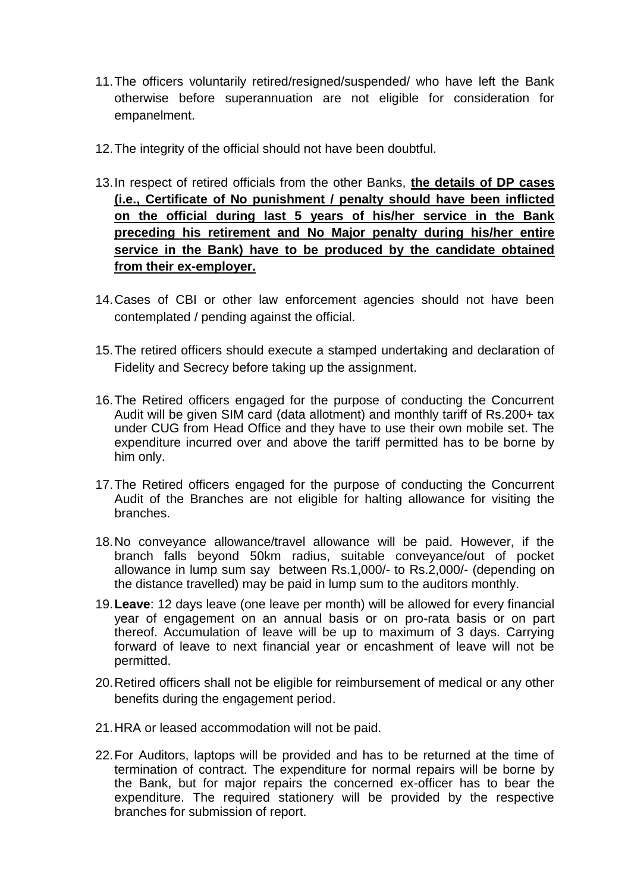- 11.The officers voluntarily retired/resigned/suspended/ who have left the Bank otherwise before superannuation are not eligible for consideration for empanelment.
- 12.The integrity of the official should not have been doubtful.
- 13.In respect of retired officials from the other Banks, **the details of DP cases (i.e., Certificate of No punishment / penalty should have been inflicted on the official during last 5 years of his/her service in the Bank preceding his retirement and No Major penalty during his/her entire service in the Bank) have to be produced by the candidate obtained from their ex-employer.**
- 14.Cases of CBI or other law enforcement agencies should not have been contemplated / pending against the official.
- 15.The retired officers should execute a stamped undertaking and declaration of Fidelity and Secrecy before taking up the assignment.
- 16.The Retired officers engaged for the purpose of conducting the Concurrent Audit will be given SIM card (data allotment) and monthly tariff of Rs.200+ tax under CUG from Head Office and they have to use their own mobile set. The expenditure incurred over and above the tariff permitted has to be borne by him only.
- 17.The Retired officers engaged for the purpose of conducting the Concurrent Audit of the Branches are not eligible for halting allowance for visiting the branches.
- 18.No conveyance allowance/travel allowance will be paid. However, if the branch falls beyond 50km radius, suitable conveyance/out of pocket allowance in lump sum say between Rs.1,000/- to Rs.2,000/- (depending on the distance travelled) may be paid in lump sum to the auditors monthly.
- 19.**Leave**: 12 days leave (one leave per month) will be allowed for every financial year of engagement on an annual basis or on pro-rata basis or on part thereof. Accumulation of leave will be up to maximum of 3 days. Carrying forward of leave to next financial year or encashment of leave will not be permitted.
- 20.Retired officers shall not be eligible for reimbursement of medical or any other benefits during the engagement period.
- 21.HRA or leased accommodation will not be paid.
- 22.For Auditors, laptops will be provided and has to be returned at the time of termination of contract. The expenditure for normal repairs will be borne by the Bank, but for major repairs the concerned ex-officer has to bear the expenditure. The required stationery will be provided by the respective branches for submission of report.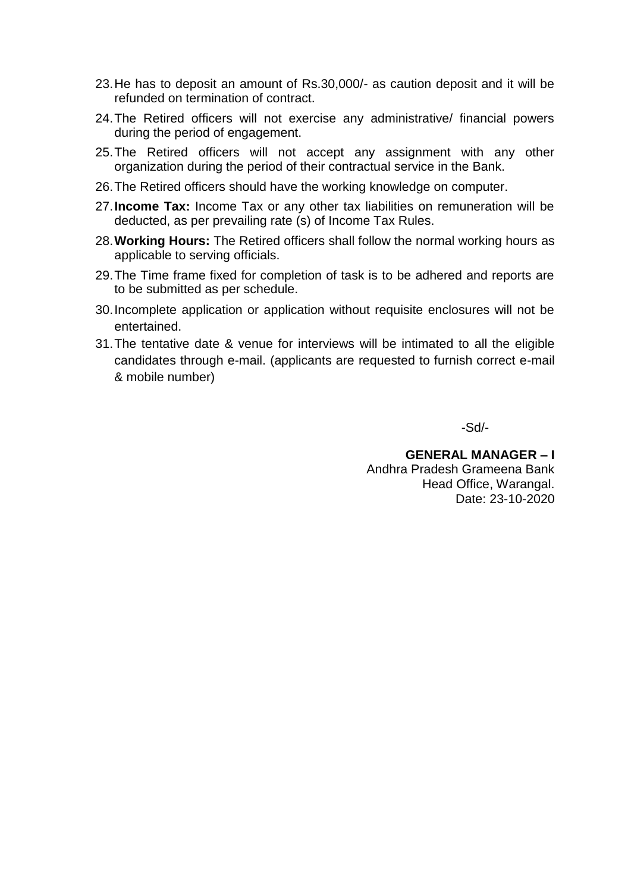- 23.He has to deposit an amount of Rs.30,000/- as caution deposit and it will be refunded on termination of contract.
- 24.The Retired officers will not exercise any administrative/ financial powers during the period of engagement.
- 25.The Retired officers will not accept any assignment with any other organization during the period of their contractual service in the Bank.
- 26.The Retired officers should have the working knowledge on computer.
- 27.**Income Tax:** Income Tax or any other tax liabilities on remuneration will be deducted, as per prevailing rate (s) of Income Tax Rules.
- 28.**Working Hours:** The Retired officers shall follow the normal working hours as applicable to serving officials.
- 29.The Time frame fixed for completion of task is to be adhered and reports are to be submitted as per schedule.
- 30.Incomplete application or application without requisite enclosures will not be entertained.
- 31.The tentative date & venue for interviews will be intimated to all the eligible candidates through e-mail. (applicants are requested to furnish correct e-mail & mobile number)

-Sd/-

**GENERAL MANAGER – I** Andhra Pradesh Grameena Bank Head Office, Warangal. Date: 23-10-2020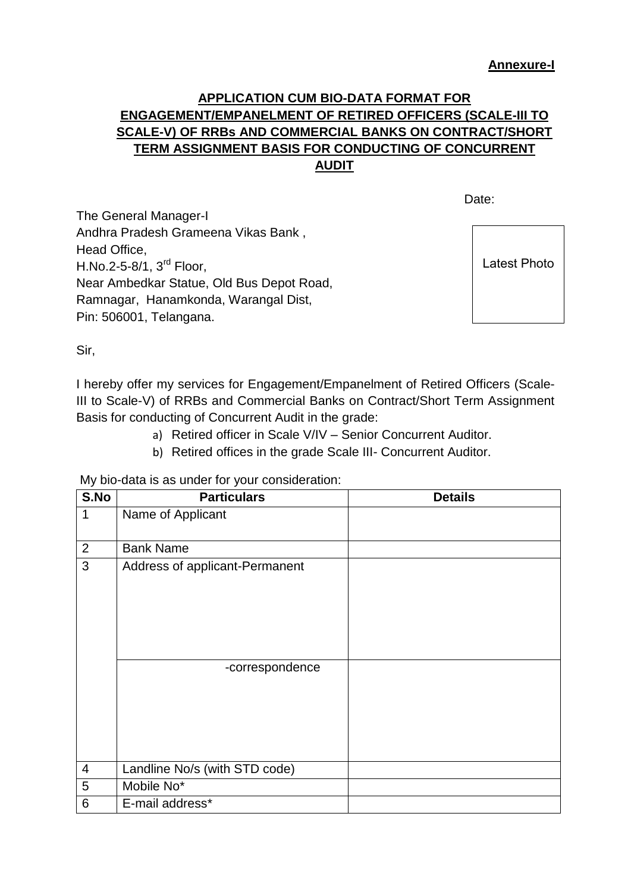### **APPLICATION CUM BIO-DATA FORMAT FOR ENGAGEMENT/EMPANELMENT OF RETIRED OFFICERS (SCALE-III TO SCALE-V) OF RRBs AND COMMERCIAL BANKS ON CONTRACT/SHORT TERM ASSIGNMENT BASIS FOR CONDUCTING OF CONCURRENT AUDIT**

discussion of the contract of the contract of the Date:

The General Manager-I Andhra Pradesh Grameena Vikas Bank , Head Office, H.No.2-5-8/1,  $3<sup>rd</sup>$  Floor, Near Ambedkar Statue, Old Bus Depot Road, Ramnagar, Hanamkonda, Warangal Dist, Pin: 506001, Telangana.

Latest Photo

Sir,

I hereby offer my services for Engagement/Empanelment of Retired Officers (Scale-III to Scale-V) of RRBs and Commercial Banks on Contract/Short Term Assignment Basis for conducting of Concurrent Audit in the grade:

- a) Retired officer in Scale V/IV Senior Concurrent Auditor.
- b) Retired offices in the grade Scale III- Concurrent Auditor.

My bio-data is as under for your consideration:

| S.No           | <b>Particulars</b>             | <b>Details</b> |
|----------------|--------------------------------|----------------|
| $\mathbf 1$    | Name of Applicant              |                |
| $\overline{2}$ | <b>Bank Name</b>               |                |
| 3              | Address of applicant-Permanent |                |
|                | -correspondence                |                |
| $\overline{4}$ | Landline No/s (with STD code)  |                |
| 5              | Mobile No*                     |                |
| 6              | E-mail address*                |                |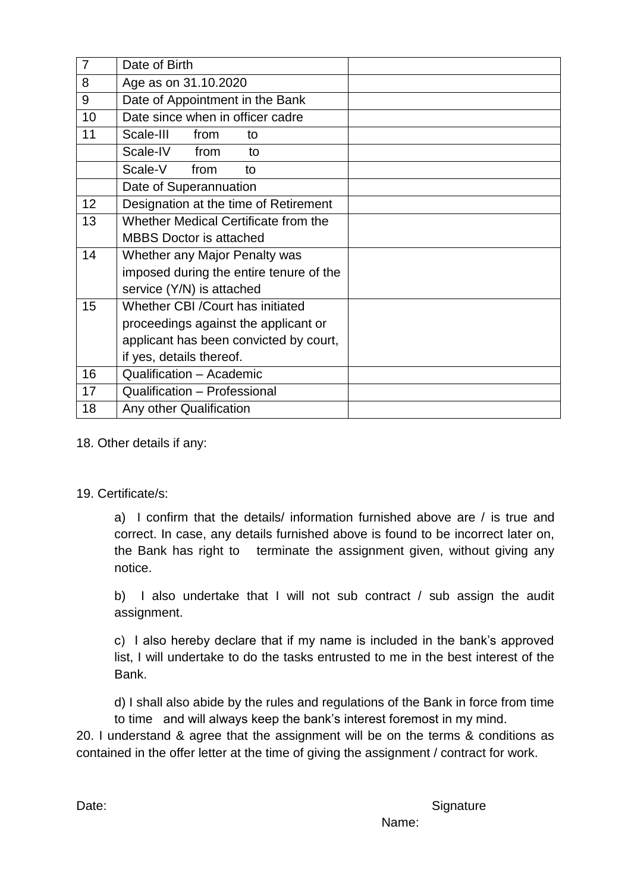| $\overline{7}$ | Date of Birth                           |  |
|----------------|-----------------------------------------|--|
| 8              | Age as on 31.10.2020                    |  |
| 9              | Date of Appointment in the Bank         |  |
| 10             | Date since when in officer cadre        |  |
| 11             | Scale-III<br>from<br>to                 |  |
|                | Scale-IV from<br>to                     |  |
|                | Scale-V<br>from<br>to                   |  |
|                | Date of Superannuation                  |  |
| 12             | Designation at the time of Retirement   |  |
| 13             | Whether Medical Certificate from the    |  |
|                | <b>MBBS Doctor is attached</b>          |  |
| 14             | Whether any Major Penalty was           |  |
|                | imposed during the entire tenure of the |  |
|                | service (Y/N) is attached               |  |
| 15             | Whether CBI / Court has initiated       |  |
|                | proceedings against the applicant or    |  |
|                | applicant has been convicted by court,  |  |
|                | if yes, details thereof.                |  |
| 16             | Qualification - Academic                |  |
| 17             | Qualification - Professional            |  |
| 18             | Any other Qualification                 |  |

18. Other details if any:

#### 19. Certificate/s:

a) I confirm that the details/ information furnished above are / is true and correct. In case, any details furnished above is found to be incorrect later on, the Bank has right to terminate the assignment given, without giving any notice.

b) I also undertake that I will not sub contract / sub assign the audit assignment.

c) I also hereby declare that if my name is included in the bank's approved list, I will undertake to do the tasks entrusted to me in the best interest of the Bank.

d) I shall also abide by the rules and regulations of the Bank in force from time to time and will always keep the bank's interest foremost in my mind.

20. I understand & agree that the assignment will be on the terms & conditions as contained in the offer letter at the time of giving the assignment / contract for work.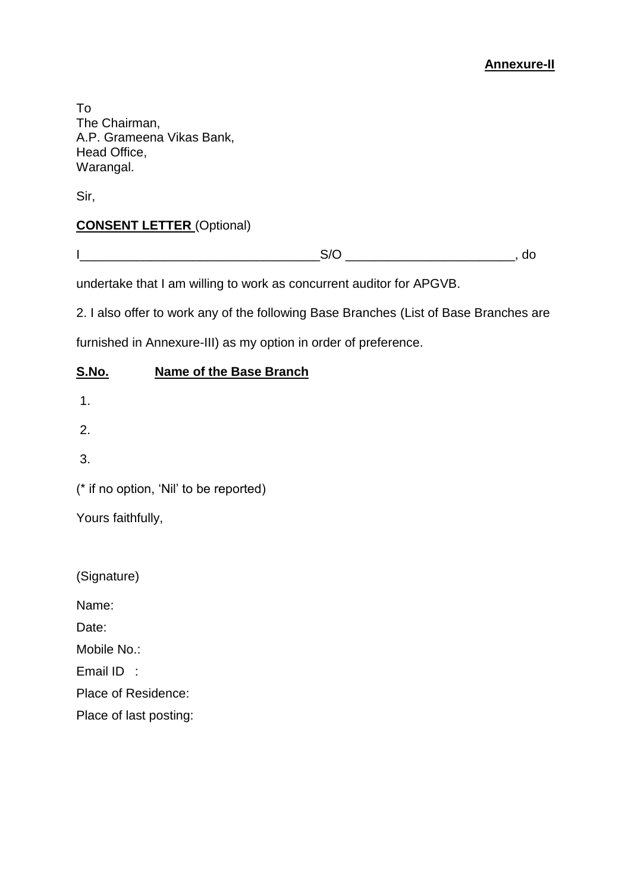#### **Annexure-II**

To The Chairman, A.P. Grameena Vikas Bank, Head Office, Warangal.

Sir,

### **CONSENT LETTER** (Optional)

undertake that I am willing to work as concurrent auditor for APGVB.

2. I also offer to work any of the following Base Branches (List of Base Branches are

furnished in Annexure-III) as my option in order of preference.

#### **S.No. Name of the Base Branch**

- 1.
- 2.

3.

(\* if no option, 'Nil' to be reported)

Yours faithfully,

(Signature)

Name:

Date:

Mobile No.:

Email ID :

Place of Residence:

Place of last posting: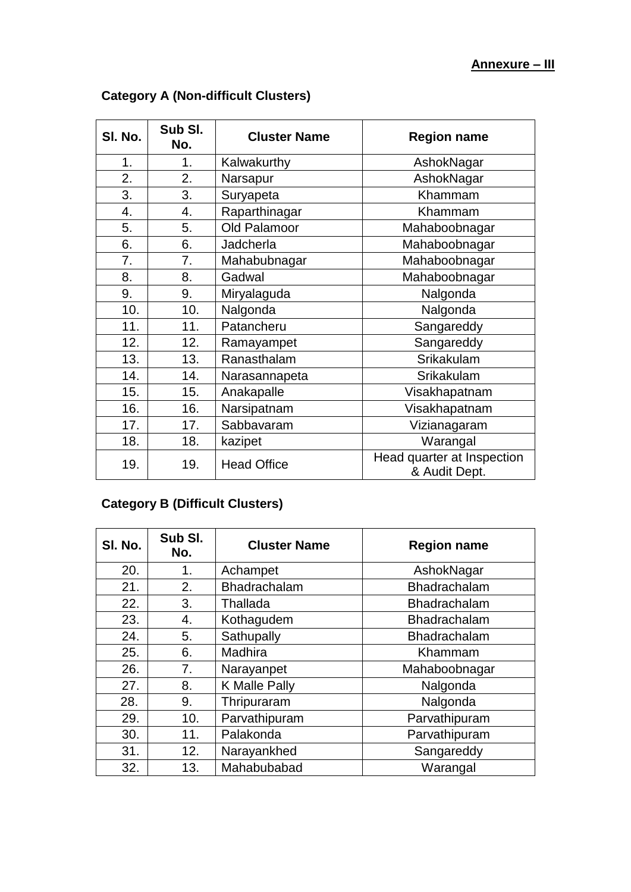| SI. No. | Sub SI.<br>No. | <b>Cluster Name</b>                                               | <b>Region name</b> |  |
|---------|----------------|-------------------------------------------------------------------|--------------------|--|
| 1.      | 1.             | Kalwakurthy                                                       | AshokNagar         |  |
| 2.      | 2.             | Narsapur                                                          | AshokNagar         |  |
| 3.      | 3.             | Suryapeta                                                         | Khammam            |  |
| 4.      | 4.             | Raparthinagar                                                     | Khammam            |  |
| 5.      | 5.             | Old Palamoor                                                      | Mahaboobnagar      |  |
| 6.      | 6.             | Jadcherla                                                         | Mahaboobnagar      |  |
| 7.      | 7.             | Mahabubnagar                                                      | Mahaboobnagar      |  |
| 8.      | 8.             | Gadwal                                                            | Mahaboobnagar      |  |
| 9.      | 9.             | Miryalaguda                                                       | Nalgonda           |  |
| 10.     | 10.            | Nalgonda                                                          | Nalgonda           |  |
| 11.     | 11.            | Patancheru                                                        | Sangareddy         |  |
| 12.     | 12.            | Ramayampet                                                        | Sangareddy         |  |
| 13.     | 13.            | Ranasthalam                                                       | Srikakulam         |  |
| 14.     | 14.            | Narasannapeta                                                     | Srikakulam         |  |
| 15.     | 15.            | Anakapalle                                                        | Visakhapatnam      |  |
| 16.     | 16.            | Narsipatnam                                                       | Visakhapatnam      |  |
| 17.     | 17.            | Sabbavaram                                                        | Vizianagaram       |  |
| 18.     | 18.            | kazipet                                                           | Warangal           |  |
| 19.     | 19.            | Head quarter at Inspection<br><b>Head Office</b><br>& Audit Dept. |                    |  |

# **Category A (Non-difficult Clusters)**

## **Category B (Difficult Clusters)**

| SI. No. | Sub SI.<br>No. | <b>Cluster Name</b>  | <b>Region name</b>  |
|---------|----------------|----------------------|---------------------|
| 20.     | 1.             | Achampet             | AshokNagar          |
| 21.     | 2.             | Bhadrachalam         | Bhadrachalam        |
| 22.     | 3.             | Thallada             | Bhadrachalam        |
| 23.     | 4.             | Kothagudem           | <b>Bhadrachalam</b> |
| 24.     | 5.             | Sathupally           | Bhadrachalam        |
| 25.     | 6.             | Madhira              | Khammam             |
| 26.     | 7.             | Narayanpet           | Mahaboobnagar       |
| 27.     | 8.             | <b>K Malle Pally</b> | Nalgonda            |
| 28.     | 9.             | Thripuraram          | Nalgonda            |
| 29.     | 10.            | Parvathipuram        | Parvathipuram       |
| 30.     | 11.            | Palakonda            | Parvathipuram       |
| 31.     | 12.            | Narayankhed          | Sangareddy          |
| 32.     | 13.            | Mahabubabad          | Warangal            |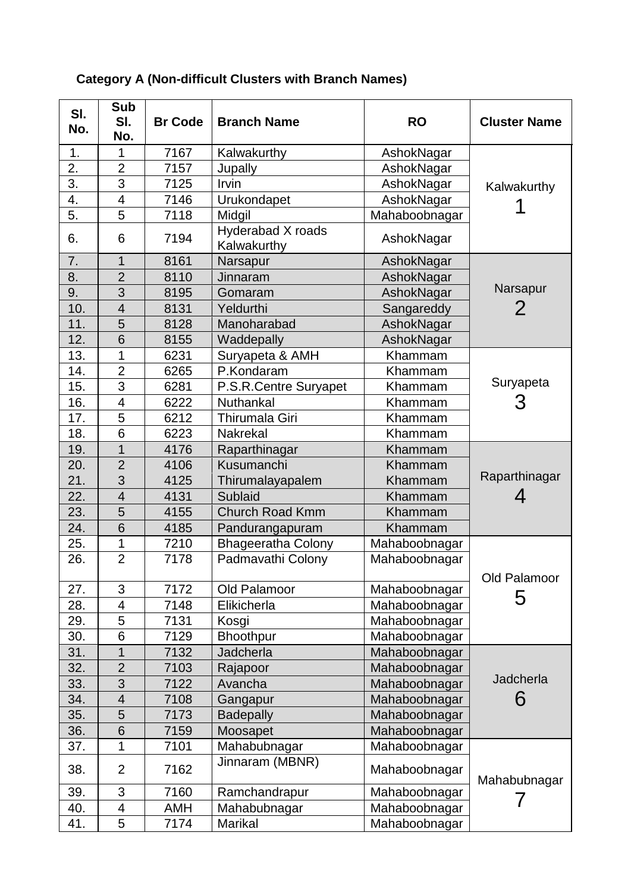| SI.<br>No. | <b>Sub</b><br>SI.<br>No. | <b>Br Code</b> | <b>Branch Name</b>               | <b>RO</b>     | <b>Cluster Name</b> |
|------------|--------------------------|----------------|----------------------------------|---------------|---------------------|
| 1.         | 1                        | 7167           | Kalwakurthy                      | AshokNagar    |                     |
| 2.         | $\overline{2}$           | 7157           | Jupally                          | AshokNagar    |                     |
| 3.         | 3                        | 7125           | Irvin                            | AshokNagar    | Kalwakurthy         |
| 4.         | $\overline{\mathbf{4}}$  | 7146           | Urukondapet                      | AshokNagar    |                     |
| 5.         | 5                        | 7118           | Midgil                           | Mahaboobnagar |                     |
| 6.         | 6                        | 7194           | Hyderabad X roads<br>Kalwakurthy | AshokNagar    |                     |
| 7.         | 1                        | 8161           | Narsapur                         | AshokNagar    |                     |
| 8.         | $\overline{2}$           | 8110           | Jinnaram                         | AshokNagar    |                     |
| 9.         | 3                        | 8195           | Gomaram                          | AshokNagar    | Narsapur            |
| 10.        | $\overline{4}$           | 8131           | Yeldurthi                        | Sangareddy    | 2                   |
| 11.        | 5                        | 8128           | Manoharabad                      | AshokNagar    |                     |
| 12.        | 6                        | 8155           | Waddepally                       | AshokNagar    |                     |
| 13.        | 1                        | 6231           | Suryapeta & AMH                  | Khammam       |                     |
| 14.        | $\overline{2}$           | 6265           | P.Kondaram                       | Khammam       |                     |
| 15.        | 3                        | 6281           | P.S.R.Centre Suryapet            | Khammam       | Suryapeta           |
| 16.        | $\overline{\mathbf{4}}$  | 6222           | Nuthankal                        | Khammam       |                     |
| 17.        | 5                        | 6212           | <b>Thirumala Giri</b>            | Khammam       |                     |
| 18.        | $\overline{6}$           | 6223           | <b>Nakrekal</b>                  | Khammam       |                     |
| 19.        | 1                        | 4176           | Raparthinagar                    | Khammam       |                     |
| 20.        | $\overline{2}$           | 4106           | Kusumanchi                       | Khammam       |                     |
| 21.        | 3                        | 4125           | Thirumalayapalem                 | Khammam       | Raparthinagar       |
| 22.        | $\overline{\mathcal{A}}$ | 4131           | Sublaid                          | Khammam       | 4                   |
| 23.        | 5                        | 4155           | <b>Church Road Kmm</b>           | Khammam       |                     |
| 24.        | 6                        | 4185           | Pandurangapuram                  | Khammam       |                     |
| 25.        | 1                        | 7210           | <b>Bhageeratha Colony</b>        | Mahaboobnagar |                     |
| 26.        | $\overline{2}$           | 7178           | Padmavathi Colony                | Mahaboobnagar | Old Palamoor        |
| 27.        | 3                        | 7172           | Old Palamoor                     | Mahaboobnagar |                     |
| 28.        | $\overline{4}$           | 7148           | Elikicherla                      | Mahaboobnagar | 5                   |
| 29.        | 5                        | 7131           | Kosgi                            | Mahaboobnagar |                     |
| 30.        | 6                        | 7129           | Bhoothpur                        | Mahaboobnagar |                     |
| 31.        | $\overline{1}$           | 7132           | Jadcherla                        | Mahaboobnagar |                     |
| 32.        | $\overline{2}$           | 7103           | Rajapoor                         | Mahaboobnagar |                     |
| 33.        | 3                        | 7122           | Avancha                          | Mahaboobnagar | Jadcherla           |
| 34.        | $\overline{\mathbf{4}}$  | 7108           | Gangapur                         | Mahaboobnagar | 6                   |
| 35.        | 5                        | 7173           | <b>Badepally</b>                 | Mahaboobnagar |                     |
| 36.        | 6                        | 7159           | Moosapet                         | Mahaboobnagar |                     |
| 37.        | 1                        | 7101           | Mahabubnagar                     | Mahaboobnagar |                     |
| 38.        | $\overline{2}$           | 7162           | Jinnaram (MBNR)                  | Mahaboobnagar | Mahabubnagar        |
| 39.        | 3                        | 7160           | Ramchandrapur                    | Mahaboobnagar |                     |
| 40.        | $\overline{\mathbf{4}}$  | <b>AMH</b>     | Mahabubnagar                     | Mahaboobnagar |                     |
| 41.        | 5                        | 7174           | Marikal                          | Mahaboobnagar |                     |

# **Category A (Non-difficult Clusters with Branch Names)**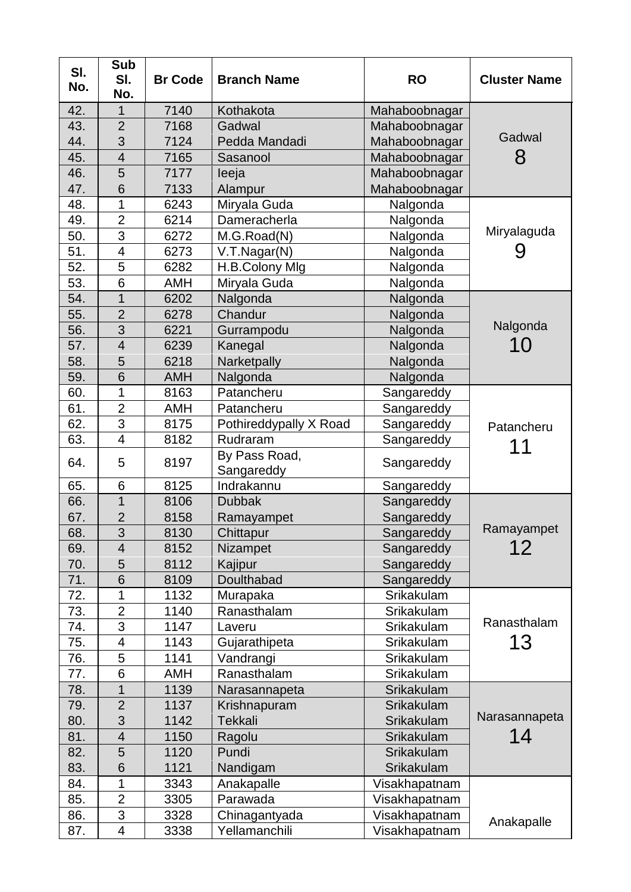| SI.<br>No. | <b>Sub</b><br>SI.<br>No. | <b>Br Code</b> | <b>Branch Name</b>          | <b>RO</b>     | <b>Cluster Name</b> |
|------------|--------------------------|----------------|-----------------------------|---------------|---------------------|
| 42.        | 1                        | 7140           | Kothakota                   | Mahaboobnagar |                     |
| 43.        | $\overline{2}$           | 7168           | Gadwal                      | Mahaboobnagar |                     |
| 44.        | 3                        | 7124           | Pedda Mandadi               | Mahaboobnagar | Gadwal              |
| 45.        | $\overline{4}$           | 7165           | Sasanool                    | Mahaboobnagar | 8                   |
| 46.        | 5                        | 7177           | leeja                       | Mahaboobnagar |                     |
| 47.        | 6                        | 7133           | Alampur                     | Mahaboobnagar |                     |
| 48.        | 1                        | 6243           | Miryala Guda                | Nalgonda      |                     |
| 49.        | $\overline{2}$           | 6214           | Dameracherla                | Nalgonda      |                     |
| 50.        | $\overline{3}$           | 6272           | M.G.Road(N)                 | Nalgonda      | Miryalaguda         |
| 51.        | $\overline{4}$           | 6273           | V.T.Nagar(N)                | Nalgonda      |                     |
| 52.        | 5                        | 6282           | H.B.Colony Mlg              | Nalgonda      |                     |
| 53.        | 6                        | <b>AMH</b>     | Miryala Guda                | Nalgonda      |                     |
| 54.        | $\mathbf{1}$             | 6202           | Nalgonda                    | Nalgonda      |                     |
| 55.        | $\overline{2}$           | 6278           | Chandur                     | Nalgonda      |                     |
| 56.        | 3                        | 6221           | Gurrampodu                  | Nalgonda      | Nalgonda            |
| 57.        | $\overline{4}$           | 6239           | Kanegal                     | Nalgonda      | 10                  |
| 58.        | 5                        | 6218           | Narketpally                 | Nalgonda      |                     |
| 59.        | 6                        | <b>AMH</b>     | Nalgonda                    | Nalgonda      |                     |
| 60.        | $\overline{1}$           | 8163           | Patancheru                  | Sangareddy    |                     |
| 61.        | $\overline{2}$           | AMH            | Patancheru                  | Sangareddy    |                     |
| 62.        | 3                        | 8175           | Pothireddypally X Road      | Sangareddy    |                     |
| 63.        | $\overline{\mathcal{A}}$ | 8182           | Rudraram                    | Sangareddy    | Patancheru          |
| 64.        | 5                        | 8197           | By Pass Road,<br>Sangareddy | Sangareddy    | 11                  |
| 65.        | 6                        | 8125           | Indrakannu                  | Sangareddy    |                     |
| 66.        | $\mathbf 1$              | 8106           | <b>Dubbak</b>               | Sangareddy    |                     |
| 67.        | $\overline{2}$           | 8158           | Ramayampet                  | Sangareddy    |                     |
| 68.        | 3                        | 8130           | Chittapur                   | Sangareddy    | Ramayampet          |
| 69.        | 4                        | 8152           | Nizampet                    | Sangareddy    | 12                  |
| 70.        | 5                        | 8112           | Kajipur                     | Sangareddy    |                     |
| 71.        | 6                        | 8109           | Doulthabad                  | Sangareddy    |                     |
| 72.        | 1                        | 1132           | Murapaka                    | Srikakulam    |                     |
| 73.        | $\overline{2}$           | 1140           | Ranasthalam                 | Srikakulam    |                     |
| 74.        | 3                        | 1147           | Laveru                      | Srikakulam    | Ranasthalam         |
| 75.        | 4                        | 1143           | Gujarathipeta               | Srikakulam    | 13                  |
| 76.        | 5                        | 1141           | Vandrangi                   | Srikakulam    |                     |
| 77.        | 6                        | <b>AMH</b>     | Ranasthalam                 | Srikakulam    |                     |
| 78.        | 1                        | 1139           | Narasannapeta               | Srikakulam    |                     |
| 79.        | $\overline{2}$           | 1137           | Krishnapuram                | Srikakulam    |                     |
| 80.        | 3                        | 1142           | <b>Tekkali</b>              | Srikakulam    | Narasannapeta       |
| 81.        | $\overline{4}$           | 1150           | Ragolu                      | Srikakulam    | 14                  |
| 82.        | 5                        | 1120           | Pundi                       | Srikakulam    |                     |
| 83.        | 6                        | 1121           | Nandigam                    | Srikakulam    |                     |
| 84.        | 1                        | 3343           | Anakapalle                  | Visakhapatnam |                     |
| 85.        | $\overline{2}$           | 3305           | Parawada                    | Visakhapatnam |                     |
| 86.        | 3                        | 3328           |                             | Visakhapatnam |                     |
|            |                          |                | Chinagantyada               |               | Anakapalle          |
| 87.        | 4                        | 3338           | Yellamanchili               | Visakhapatnam |                     |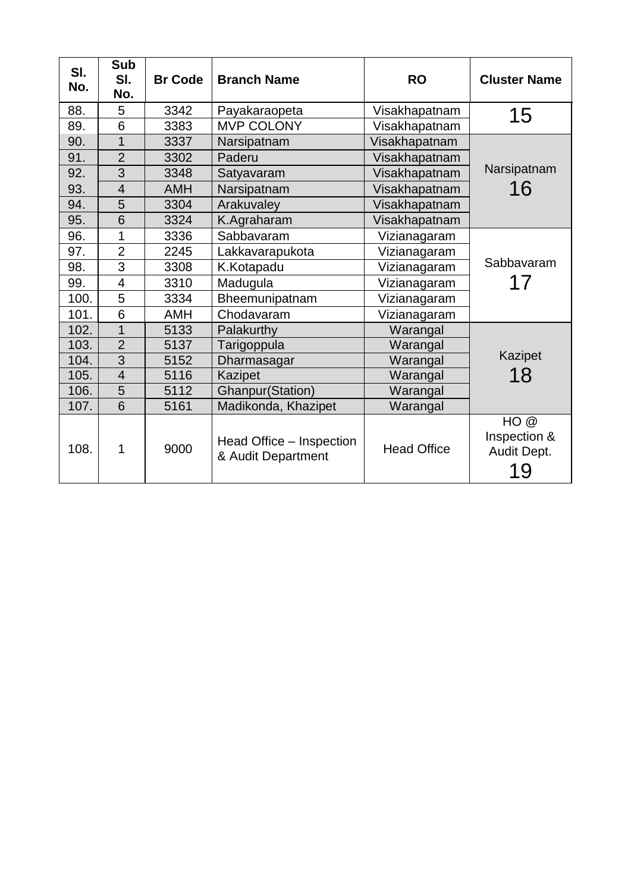| SI.<br>No. | <b>Sub</b><br>SI.<br>No. | <b>Br Code</b> | <b>Branch Name</b>                             | <b>RO</b>          | <b>Cluster Name</b>                      |
|------------|--------------------------|----------------|------------------------------------------------|--------------------|------------------------------------------|
| 88.        | 5                        | 3342           | Payakaraopeta                                  | Visakhapatnam      | 15                                       |
| 89.        | 6                        | 3383           | MVP COLONY                                     | Visakhapatnam      |                                          |
| 90.        | $\overline{1}$           | 3337           | Narsipatnam                                    | Visakhapatnam      |                                          |
| 91.        | $\overline{2}$           | 3302           | Paderu                                         | Visakhapatnam      |                                          |
| 92.        | 3                        | 3348           | Satyavaram                                     | Visakhapatnam      | Narsipatnam                              |
| 93.        | $\overline{4}$           | <b>AMH</b>     | Narsipatnam                                    | Visakhapatnam      | 16                                       |
| 94.        | 5                        | 3304           | Arakuvaley                                     | Visakhapatnam      |                                          |
| 95.        | 6                        | 3324           | K.Agraharam                                    | Visakhapatnam      |                                          |
| 96.        | 1                        | 3336           | Sabbavaram                                     | Vizianagaram       |                                          |
| 97.        | $\overline{2}$           | 2245           | Lakkavarapukota                                | Vizianagaram       |                                          |
| 98.        | $\overline{3}$           | 3308           | K.Kotapadu                                     | Vizianagaram       | Sabbavaram                               |
| 99.        | 4                        | 3310           | Madugula                                       | Vizianagaram       | 17                                       |
| 100.       | 5                        | 3334           | Bheemunipatnam                                 | Vizianagaram       |                                          |
| 101.       | 6                        | <b>AMH</b>     | Chodavaram                                     | Vizianagaram       |                                          |
| 102.       | $\overline{1}$           | 5133           | Palakurthy                                     | Warangal           |                                          |
| 103.       | $\overline{2}$           | 5137           | Tarigoppula                                    | Warangal           |                                          |
| 104.       | $\overline{3}$           | 5152           | Dharmasagar                                    | Warangal           | Kazipet                                  |
| 105.       | $\overline{4}$           | 5116           | Kazipet                                        | Warangal           | 18                                       |
| 106.       | 5                        | 5112           | <b>Ghanpur(Station)</b>                        | Warangal           |                                          |
| 107.       | 6                        | 5161           | Madikonda, Khazipet                            | Warangal           |                                          |
| 108.       | 1                        | 9000           | Head Office – Inspection<br>& Audit Department | <b>Head Office</b> | HO@<br>Inspection &<br>Audit Dept.<br>19 |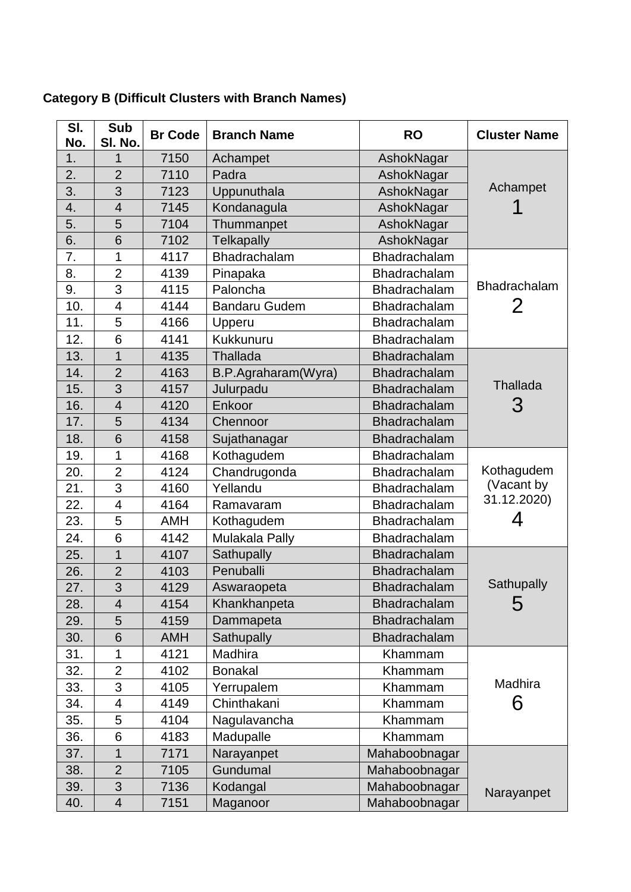| SI.<br>No.       | <b>Sub</b><br>SI. No.    | <b>Br Code</b> | <b>Branch Name</b>   | <b>RO</b>           | <b>Cluster Name</b> |
|------------------|--------------------------|----------------|----------------------|---------------------|---------------------|
| 1.               | 1                        | 7150           | Achampet             | AshokNagar          |                     |
| 2.               | $\overline{2}$           | 7110           | Padra                | AshokNagar          |                     |
| 3.               | 3                        | 7123           | Uppunuthala          | AshokNagar          | Achampet            |
| 4.               | $\overline{4}$           | 7145           | Kondanagula          | AshokNagar          | 1                   |
| 5.               | 5                        | 7104           | Thummanpet           | AshokNagar          |                     |
| 6.               | 6                        | 7102           | <b>Telkapally</b>    | AshokNagar          |                     |
| $\overline{7}$ . | 1                        | 4117           | Bhadrachalam         | Bhadrachalam        |                     |
| 8.               | $\overline{2}$           | 4139           | Pinapaka             | Bhadrachalam        |                     |
| 9.               | 3                        | 4115           | Paloncha             | Bhadrachalam        | <b>Bhadrachalam</b> |
| 10.              | $\overline{\mathbf{4}}$  | 4144           | <b>Bandaru Gudem</b> | Bhadrachalam        | 2                   |
| 11.              | 5                        | 4166           | Upperu               | Bhadrachalam        |                     |
| 12.              | 6                        | 4141           | Kukkunuru            | Bhadrachalam        |                     |
| 13.              | $\overline{1}$           | 4135           | Thallada             | <b>Bhadrachalam</b> |                     |
| 14.              | $\overline{2}$           | 4163           | B.P.Agraharam(Wyra)  | Bhadrachalam        |                     |
| 15.              | 3                        | 4157           | Julurpadu            | <b>Bhadrachalam</b> | <b>Thallada</b>     |
| 16.              | $\overline{4}$           | 4120           | Enkoor               | <b>Bhadrachalam</b> | З                   |
| 17.              | 5                        | 4134           | Chennoor             | Bhadrachalam        |                     |
| 18.              | 6                        | 4158           | Sujathanagar         | Bhadrachalam        |                     |
| 19.              | 1                        | 4168           | Kothagudem           | Bhadrachalam        |                     |
| 20.              | $\overline{2}$           | 4124           | Chandrugonda         | Bhadrachalam        | Kothagudem          |
| 21.              | 3                        | 4160           | Yellandu             | Bhadrachalam        | (Vacant by          |
| 22.              | $\overline{\mathcal{A}}$ | 4164           | Ramavaram            | Bhadrachalam        | 31.12.2020)         |
| 23.              | 5                        | <b>AMH</b>     | Kothagudem           | Bhadrachalam        | 4                   |
| 24.              | 6                        | 4142           | Mulakala Pally       | Bhadrachalam        |                     |
| 25.              | 1                        | 4107           | Sathupally           | Bhadrachalam        |                     |
| 26.              | $\overline{2}$           | 4103           | Penuballi            | Bhadrachalam        |                     |
| 27.              | 3                        | 4129           | Aswaraopeta          | <b>Bhadrachalam</b> | Sathupally          |
| 28.              | $\overline{4}$           | 4154           | Khankhanpeta         | Bhadrachalam        | 5                   |
| 29.              | 5                        | 4159           | Dammapeta            | Bhadrachalam        |                     |
| 30.              | 6                        | <b>AMH</b>     | Sathupally           | Bhadrachalam        |                     |
| 31.              | 1                        | 4121           | Madhira              | Khammam             |                     |
| 32.              | $\overline{2}$           | 4102           | <b>Bonakal</b>       | Khammam             |                     |
| 33.              | 3                        | 4105           | Yerrupalem           | Khammam             | Madhira             |
| 34.              | 4                        | 4149           | Chinthakani          | Khammam             | 6                   |
| 35.              | 5                        | 4104           | Nagulavancha         | Khammam             |                     |
| 36.              | 6                        | 4183           | Madupalle            | Khammam             |                     |
| 37.              | 1                        | 7171           | Narayanpet           | Mahaboobnagar       |                     |
| 38.              | $\overline{2}$           | 7105           | Gundumal             | Mahaboobnagar       |                     |
| 39.              | 3                        | 7136           | Kodangal             | Mahaboobnagar       |                     |
| 40.              | 4                        | 7151           | Maganoor             | Mahaboobnagar       | Narayanpet          |

## **Category B (Difficult Clusters with Branch Names)**